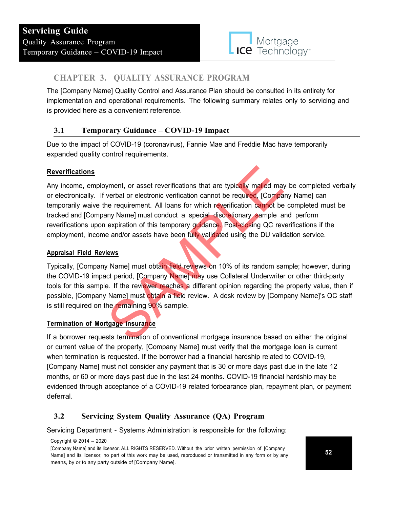

## **CHAPTER 3. QUALITY ASSURANCE PROGRAM**

The [Company Name] Quality Control and Assurance Plan should be consulted in its entirety for implementation and operational requirements. The following summary relates only to servicing and is provided here as a convenient reference.

### **3.1 Temporary Guidance – COVID-19 Impact**

Due to the impact of COVID-19 (coronavirus), Fannie Mae and Freddie Mac have temporarily expanded quality control requirements.

### **Reverifications**

Any income, employment, or asset reverifications that are typically mailed may be completed verbally or electronically. If verbal or electronic verification cannot be required, [Company Name] can temporarily waive the requirement. All loans for which reverification cannot be completed must be tracked and [Company Name] must conduct a special discretionary sample and perform reverifications upon expiration of this temporary guidance. Post-closing QC reverifications if the employment, income and/or assets have been fully validated using the DU validation service. when the original or electronic verifications that are typically mailed may verbal or electronic verification cannot be required. [Compaint electronic verification cannot be required. [Compaint electronic of this temporary

#### **Appraisal Field Reviews**

Typically, [Company Name] must obtain field reviews on 10% of its random sample; however, during the COVID-19 impact period, [Company Name] may use Collateral Underwriter or other third-party tools for this sample. If the reviewer reaches a different opinion regarding the property value, then if possible, [Company Name] must obtain a field review. A desk review by [Company Name]'s QC staff is still required on the remaining 90% sample.

### **Termination of Mortgage Insurance**

If a borrower requests termination of conventional mortgage insurance based on either the original or current value of the property, [Company Name] must verify that the mortgage loan is current when termination is requested. If the borrower had a financial hardship related to COVID-19, [Company Name] must not consider any payment that is 30 or more days past due in the late 12 months, or 60 or more days past due in the last 24 months. COVID-19 financial hardship may be evidenced through acceptance of a COVID-19 related forbearance plan, repayment plan, or payment deferral.

### **3.2 Servicing System Quality Assurance (QA) Program**

Servicing Department - Systems Administration is responsible for the following:

Copyright © 2014 – 2020

<sup>[</sup>Company Name] and its licensor. ALL RIGHTS RESERVED. Without the prior written permission of [Company Name] and its licensor, no part of this work may be used, reproduced or transmitted in any form or by any means, by or to any party outside of [Company Name].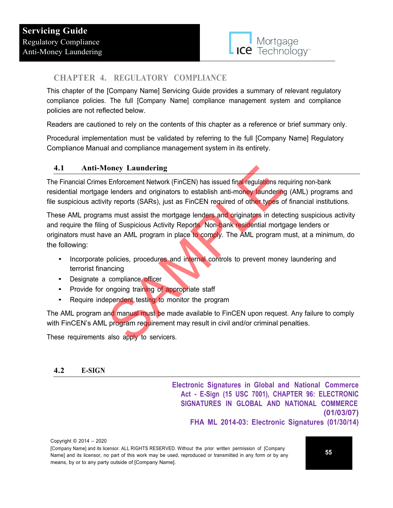

## **CHAPTER 4. REGULATORY COMPLIANCE**

This chapter of the [Company Name] Servicing Guide provides a summary of relevant regulatory compliance policies. The full [Company Name] compliance management system and compliance policies are not reflected below.

Readers are cautioned to rely on the contents of this chapter as a reference or brief summary only.

Procedural implementation must be validated by referring to the full [Company Name] Regulatory Compliance Manual and compliance management system in its entirety.

### **4.1 Anti-Money Laundering**

The Financial Crimes Enforcement Network (FinCEN) has issued final regulations requiring non-bank residential mortgage lenders and originators to establish anti-money laundering (AML) programs and file suspicious activity reports (SARs), just as FinCEN required of other types of financial institutions.

These AML programs must assist the mortgage lenders and originators in detecting suspicious activity and require the filing of Suspicious Activity Reports. Non-bank residential mortgage lenders or originators must have an AML program in place to comply. The AML program must, at a minimum, do the following: The Enforcement Network (FinCEN) has issued final regulations researchers and originators to establish anti-money laundering<br>ty reports (SARs), just as FinCEN required of other types ones must assist the mortgage lenders a

- Incorporate policies, procedures and internal controls to prevent money laundering and terrorist financing
- Designate a compliance officer
- Provide for ongoing training of appropriate staff
- Require independent testing to monitor the program

The AML program and manual must be made available to FinCEN upon request. Any failure to comply with FinCEN's AML program requirement may result in civil and/or criminal penalties.

These requirements also apply to servicers.

### **4.2 E-SIGN**

**Electronic Signatures in Global and National Commerce Act - E-Sign (15 USC 7001), CHAPTER 96: ELECTRONIC SIGNATURES IN GLOBAL AND NATIONAL COMMERCE (01/03/07) FHA ML 2014-03: Electronic Signatures (01/30/14)**

Copyright © 2014 – 2020

[Company Name] and its licensor. ALL RIGHTS RESERVED. Without the prior written permission of [Company Name] and its licensor, no part of this work may be used, reproduced or transmitted in any form or by any means, by or to any party outside of [Company Name].